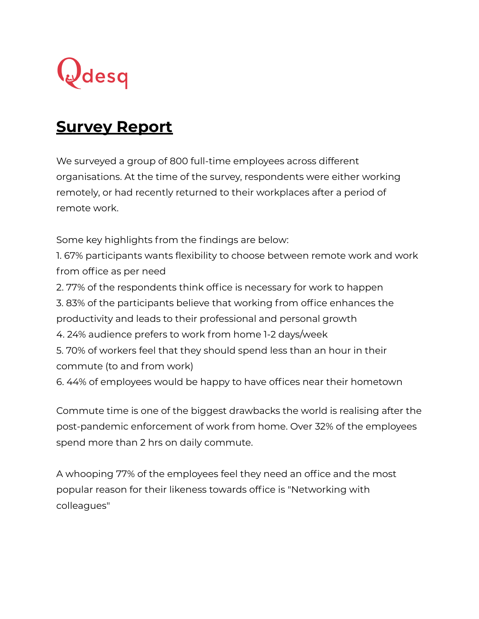

## **Survey Report**

We surveyed a group of 800 full-time employees across different organisations. At the time of the survey, respondents were either working remotely, or had recently returned to their workplaces after a period of remote work.

Some key highlights from the findings are below:

1. 67% participants wants flexibility to choose between remote work and work from office as per need

2. 77% of the respondents think office is necessary for work to happen

3. 83% of the participants believe that working from office enhances the

productivity and leads to their professional and personal growth

4. 24% audience prefers to work from home 1-2 days/week

5. 70% of workers feel that they should spend less than an hour in their commute (to and from work)

6. 44% of employees would be happy to have offices near their hometown

Commute time is one of the biggest drawbacks the world is realising after the post-pandemic enforcement of work from home. Over 32% of the employees spend more than 2 hrs on daily commute.

A whooping 77% of the employees feel they need an office and the most popular reason for their likeness towards office is "Networking with colleagues"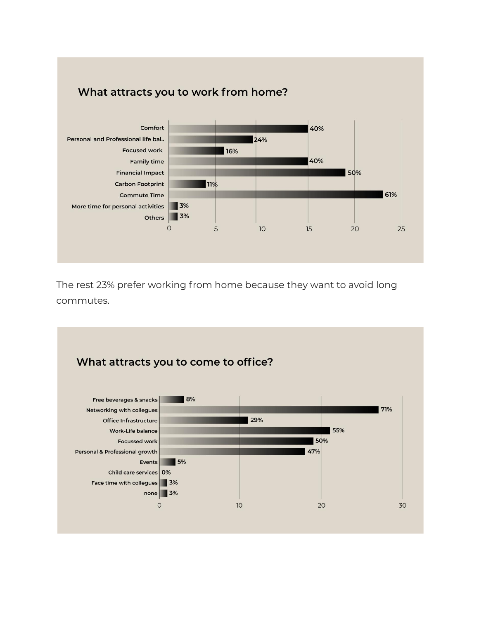

The rest 23% prefer working from home because they want to avoid long commutes.